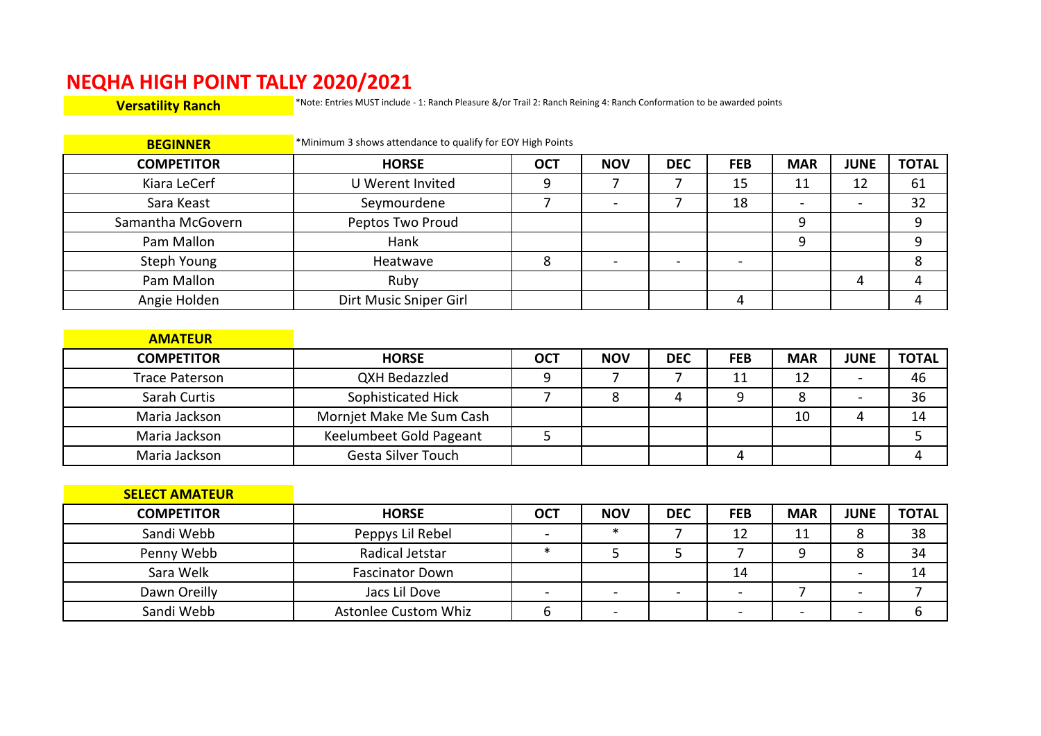## **NEQHA HIGH POINT TALLY 2020/2021**<br>Versatility Ranch **Mark Andrew Strates MUST include**

**Versatility Ranch** \*Note: Entries MUST include - 1: Ranch Pleasure &/or Trail 2: Ranch Reining 4: Ranch Conformation to be awarded points

| <b>BEGINNER</b>   | *Minimum 3 shows attendance to qualify for EOY High Points |            |            |            |            |                          |             |              |
|-------------------|------------------------------------------------------------|------------|------------|------------|------------|--------------------------|-------------|--------------|
| <b>COMPETITOR</b> | <b>HORSE</b>                                               | <b>OCT</b> | <b>NOV</b> | <b>DEC</b> | <b>FEB</b> | <b>MAR</b>               | <b>JUNE</b> | <b>TOTAL</b> |
| Kiara LeCerf      | U Werent Invited                                           |            |            |            | 15         | 11                       | 12          | 61           |
| Sara Keast        | Seymourdene                                                |            |            |            | 18         | $\overline{\phantom{0}}$ |             | 32           |
| Samantha McGovern | Peptos Two Proud                                           |            |            |            |            |                          |             |              |
| Pam Mallon        | Hank                                                       |            |            |            |            |                          |             |              |
| Steph Young       | Heatwave                                                   |            |            |            |            |                          |             |              |
| Pam Mallon        | Ruby                                                       |            |            |            |            |                          |             |              |
| Angie Holden      | Dirt Music Sniper Girl                                     |            |            |            |            |                          |             |              |

| <b>AMATEUR</b>    |                           |            |            |            |            |            |             |              |
|-------------------|---------------------------|------------|------------|------------|------------|------------|-------------|--------------|
| <b>COMPETITOR</b> | <b>HORSE</b>              | <b>OCT</b> | <b>NOV</b> | <b>DEC</b> | <b>FEB</b> | <b>MAR</b> | <b>JUNE</b> | <b>TOTAL</b> |
| Trace Paterson    | <b>QXH Bedazzled</b>      |            |            |            | 11         | 12         |             | 46           |
| Sarah Curtis      | Sophisticated Hick        |            |            |            |            |            |             | 36           |
| Maria Jackson     | Mornjet Make Me Sum Cash  |            |            |            |            | 10         |             | 14           |
| Maria Jackson     | Keelumbeet Gold Pageant   |            |            |            |            |            |             |              |
| Maria Jackson     | <b>Gesta Silver Touch</b> |            |            |            |            |            |             |              |

| <b>SELECT AMATEUR</b> |                             |            |            |            |            |            |             |              |
|-----------------------|-----------------------------|------------|------------|------------|------------|------------|-------------|--------------|
| <b>COMPETITOR</b>     | <b>HORSE</b>                | <b>OCT</b> | <b>NOV</b> | <b>DEC</b> | <b>FEB</b> | <b>MAR</b> | <b>JUNE</b> | <b>TOTAL</b> |
| Sandi Webb            | Peppys Lil Rebel            |            | ж          |            | 12         | 11         |             | 38           |
| Penny Webb            | Radical Jetstar             |            |            |            |            |            |             | 34           |
| Sara Welk             | <b>Fascinator Down</b>      |            |            |            | 14         |            |             | 14           |
| Dawn Oreilly          | Jacs Lil Dove               |            |            |            |            |            |             |              |
| Sandi Webb            | <b>Astonlee Custom Whiz</b> |            |            |            |            |            |             |              |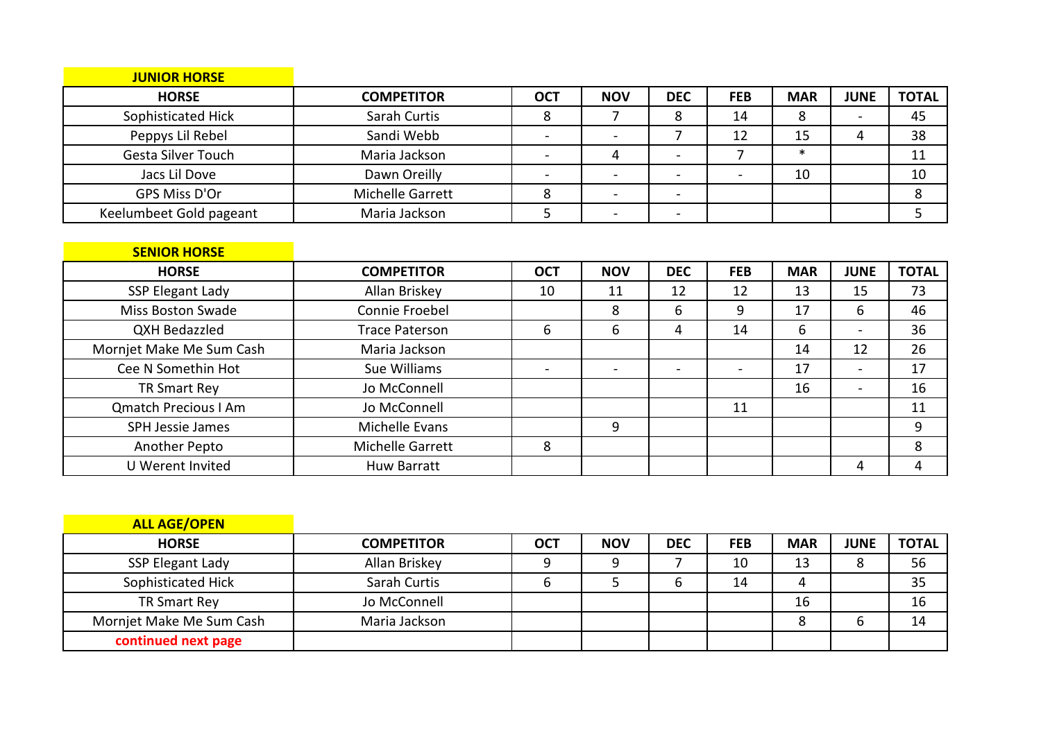| <b>JUNIOR HORSE</b>       |                         |            |            |            |            |            |             |              |
|---------------------------|-------------------------|------------|------------|------------|------------|------------|-------------|--------------|
| <b>HORSE</b>              | <b>COMPETITOR</b>       | <b>OCT</b> | <b>NOV</b> | <b>DEC</b> | <b>FEB</b> | <b>MAR</b> | <b>JUNE</b> | <b>TOTAL</b> |
| Sophisticated Hick        | Sarah Curtis            |            |            |            | 14         |            |             | 45           |
| Peppys Lil Rebel          | Sandi Webb              |            |            |            | 12         | 15         |             | 38           |
| <b>Gesta Silver Touch</b> | Maria Jackson           |            |            |            |            | $\ast$     |             | 11           |
| Jacs Lil Dove             | Dawn Oreilly            |            |            |            |            | 10         |             | 10           |
| GPS Miss D'Or             | <b>Michelle Garrett</b> |            |            |            |            |            |             |              |
| Keelumbeet Gold pageant   | Maria Jackson           |            |            |            |            |            |             |              |

| <b>SENIOR HORSE</b>         |                       |            |            |            |            |            |             |              |
|-----------------------------|-----------------------|------------|------------|------------|------------|------------|-------------|--------------|
| <b>HORSE</b>                | <b>COMPETITOR</b>     | <b>OCT</b> | <b>NOV</b> | <b>DEC</b> | <b>FEB</b> | <b>MAR</b> | <b>JUNE</b> | <b>TOTAL</b> |
| SSP Elegant Lady            | Allan Briskey         | 10         | 11         | 12         | 12         | 13         | 15          | 73           |
| Miss Boston Swade           | Connie Froebel        |            | 8          | 6          | 9          | 17         | 6           | 46           |
| QXH Bedazzled               | <b>Trace Paterson</b> | 6          | 6          | 4          | 14         | 6          |             | 36           |
| Mornjet Make Me Sum Cash    | Maria Jackson         |            |            |            |            | 14         | 12          | 26           |
| Cee N Somethin Hot          | Sue Williams          |            |            |            |            | 17         | -           | 17           |
| TR Smart Rey                | Jo McConnell          |            |            |            |            | 16         | -           | 16           |
| <b>Qmatch Precious I Am</b> | Jo McConnell          |            |            |            | 11         |            |             | 11           |
| SPH Jessie James            | Michelle Evans        |            | 9          |            |            |            |             | 9            |
| Another Pepto               | Michelle Garrett      | 8          |            |            |            |            |             | 8            |
| U Werent Invited            | <b>Huw Barratt</b>    |            |            |            |            |            | 4           |              |

| <b>ALL AGE/OPEN</b>      |                   |            |            |            |            |            |             |              |
|--------------------------|-------------------|------------|------------|------------|------------|------------|-------------|--------------|
| <b>HORSE</b>             | <b>COMPETITOR</b> | <b>OCT</b> | <b>NOV</b> | <b>DEC</b> | <b>FEB</b> | <b>MAR</b> | <b>JUNE</b> | <b>TOTAL</b> |
| SSP Elegant Lady         | Allan Briskey     |            |            |            | 10         | 13         |             | 56           |
| Sophisticated Hick       | Sarah Curtis      | b          |            |            | 14         |            |             | 35           |
| TR Smart Rey             | Jo McConnell      |            |            |            |            | 16         |             | 16           |
| Mornjet Make Me Sum Cash | Maria Jackson     |            |            |            |            |            |             | 14           |
| continued next page      |                   |            |            |            |            |            |             |              |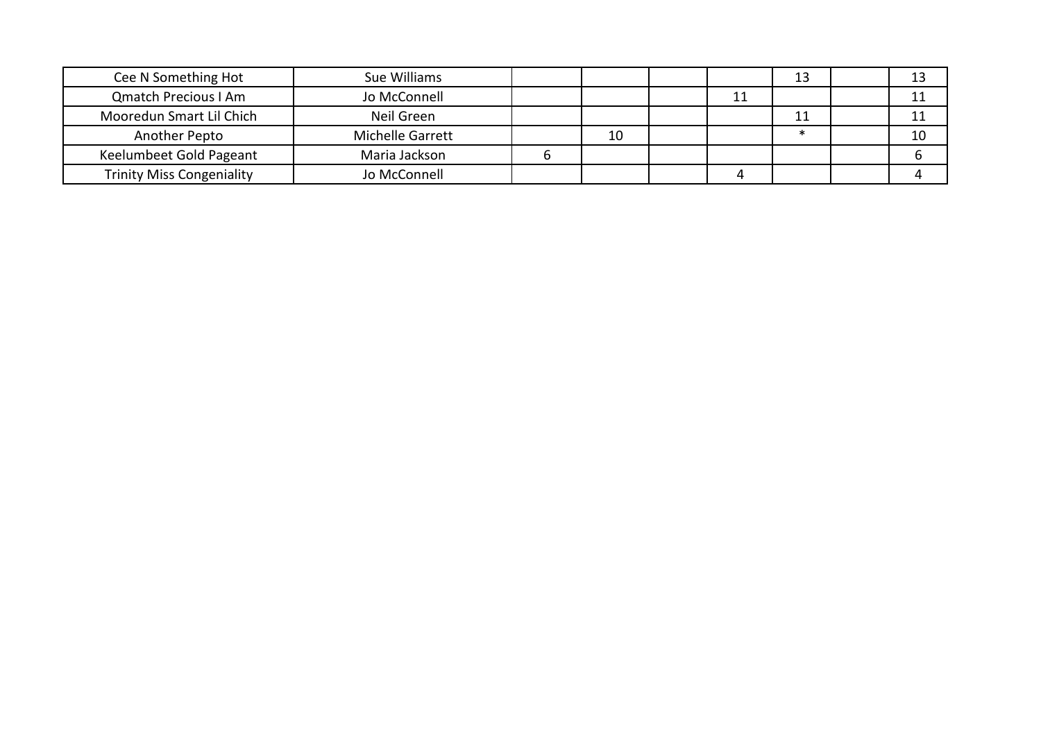| Cee N Something Hot              | Sue Williams     |    |    | 13 |    |
|----------------------------------|------------------|----|----|----|----|
| <b>Qmatch Precious I Am</b>      | Jo McConnell     |    | 11 |    |    |
| Mooredun Smart Lil Chich         | Neil Green       |    |    | 11 |    |
| Another Pepto                    | Michelle Garrett | 10 |    |    | 10 |
| Keelumbeet Gold Pageant          | Maria Jackson    |    |    |    |    |
| <b>Trinity Miss Congeniality</b> | Jo McConnell     |    |    |    |    |